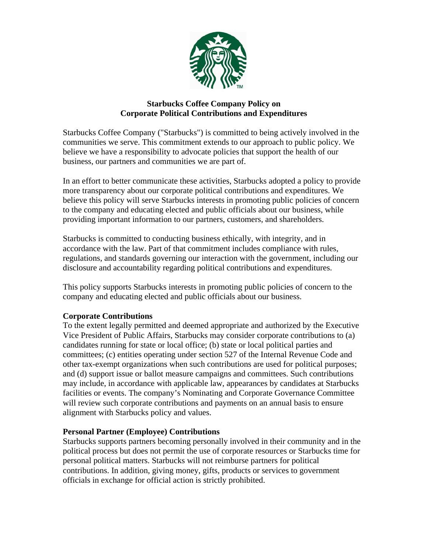

# **Starbucks Coffee Company Policy on Corporate Political Contributions and Expenditures**

Starbucks Coffee Company ("Starbucks") is committed to being actively involved in the communities we serve. This commitment extends to our approach to public policy. We believe we have a responsibility to advocate policies that support the health of our business, our partners and communities we are part of.

In an effort to better communicate these activities, Starbucks adopted a policy to provide more transparency about our corporate political contributions and expenditures. We believe this policy will serve Starbucks interests in promoting public policies of concern to the company and educating elected and public officials about our business, while providing important information to our partners, customers, and shareholders.

Starbucks is committed to conducting business ethically, with integrity, and in accordance with the law. Part of that commitment includes compliance with rules, regulations, and standards governing our interaction with the government, including our disclosure and accountability regarding political contributions and expenditures.

This policy supports Starbucks interests in promoting public policies of concern to the company and educating elected and public officials about our business.

# **Corporate Contributions**

To the extent legally permitted and deemed appropriate and authorized by the Executive Vice President of Public Affairs, Starbucks may consider corporate contributions to (a) candidates running for state or local office; (b) state or local political parties and committees; (c) entities operating under section 527 of the Internal Revenue Code and other tax-exempt organizations when such contributions are used for political purposes; and (d) support issue or ballot measure campaigns and committees. Such contributions may include, in accordance with applicable law, appearances by candidates at Starbucks facilities or events. The company's Nominating and Corporate Governance Committee will review such corporate contributions and payments on an annual basis to ensure alignment with Starbucks policy and values.

# **Personal Partner (Employee) Contributions**

Starbucks supports partners becoming personally involved in their community and in the political process but does not permit the use of corporate resources or Starbucks time for personal political matters. Starbucks will not reimburse partners for political contributions. In addition, giving money, gifts, products or services to government officials in exchange for official action is strictly prohibited.